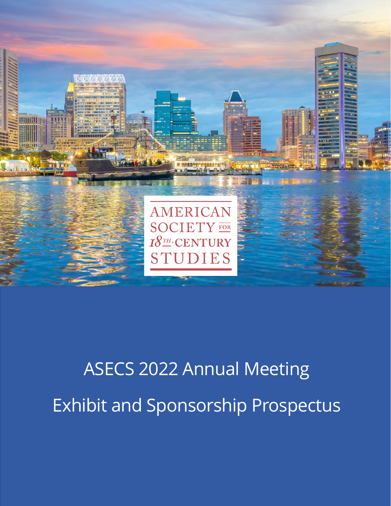

# ASECS 2022 Annual Meeting Exhibit and Sponsorship Prospectus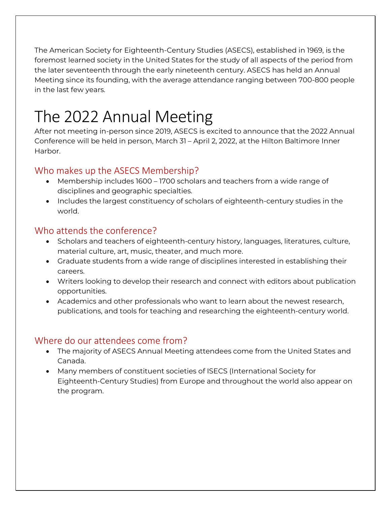The American Society for Eighteenth-Century Studies (ASECS), established in 1969, is the foremost learned society in the United States for the study of all aspects of the period from the later seventeenth through the early nineteenth century. ASECS has held an Annual Meeting since its founding, with the average attendance ranging between 700-800 people in the last few years.

## The 2022 Annual Meeting

After not meeting in-person since 2019, ASECS is excited to announce that the 2022 Annual Conference will be held in person, March 31 – April 2, 2022, at the Hilton Baltimore Inner Harbor.

### Who makes up the ASECS Membership?

- Membership includes 1600 1700 scholars and teachers from a wide range of disciplines and geographic specialties.
- Includes the largest constituency of scholars of eighteenth-century studies in the world.

### Who attends the conference?

- Scholars and teachers of eighteenth-century history, languages, literatures, culture, material culture, art, music, theater, and much more.
- Graduate students from a wide range of disciplines interested in establishing their careers.
- Writers looking to develop their research and connect with editors about publication opportunities.
- Academics and other professionals who want to learn about the newest research, publications, and tools for teaching and researching the eighteenth-century world.

### Where do our attendees come from?

- The majority of ASECS Annual Meeting attendees come from the United States and Canada.
- Many members of constituent societies of ISECS (International Society for Eighteenth-Century Studies) from Europe and throughout the world also appear on the program.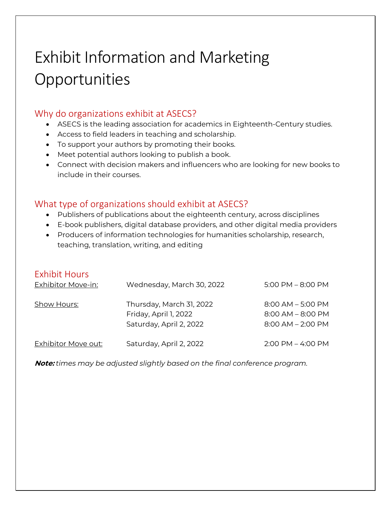## Exhibit Information and Marketing **Opportunities**

### Why do organizations exhibit at ASECS?

- ASECS is the leading association for academics in Eighteenth-Century studies.
- Access to field leaders in teaching and scholarship.
- To support your authors by promoting their books.
- Meet potential authors looking to publish a book.
- Connect with decision makers and influencers who are looking for new books to include in their courses.

### What type of organizations should exhibit at ASECS?

- Publishers of publications about the eighteenth century, across disciplines
- E-book publishers, digital database providers, and other digital media providers
- Producers of information technologies for humanities scholarship, research, teaching, translation, writing, and editing

### Exhibit Hours

| <b>Exhibitor Move-in:</b>  | Wednesday, March 30, 2022                                                    | $5:00$ PM $-8:00$ PM                                                   |
|----------------------------|------------------------------------------------------------------------------|------------------------------------------------------------------------|
| <b>Show Hours:</b>         | Thursday, March 31, 2022<br>Friday, April 1, 2022<br>Saturday, April 2, 2022 | $8:00$ AM $-5:00$ PM<br>$8:00$ AM $-$ 8:00 PM<br>$8:00$ AM $- 2:00$ PM |
| <b>Exhibitor Move out:</b> | Saturday, April 2, 2022                                                      | $2:00$ PM $-$ 4:00 PM                                                  |

**Note:** *times may be adjusted slightly based on the final conference program.*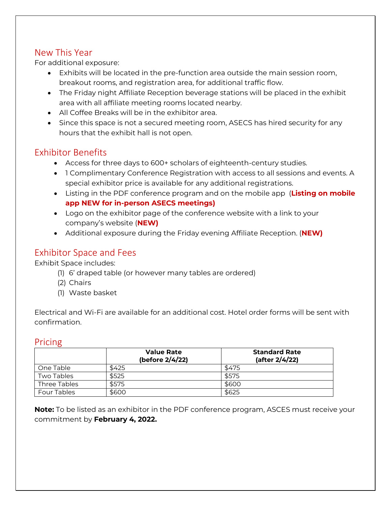### New This Year

For additional exposure:

- Exhibits will be located in the pre-function area outside the main session room, breakout rooms, and registration area, for additional traffic flow.
- The Friday night Affiliate Reception beverage stations will be placed in the exhibit area with all affiliate meeting rooms located nearby.
- All Coffee Breaks will be in the exhibitor area.
- Since this space is not a secured meeting room, ASECS has hired security for any hours that the exhibit hall is not open.

### Exhibitor Benefits

- Access for three days to 600+ scholars of eighteenth-century studies.
- 1 Complimentary Conference Registration with access to all sessions and events. A special exhibitor price is available for any additional registrations.
- Listing in the PDF conference program and on the mobile app (**Listing on mobile app NEW for in-person ASECS meetings)**
- Logo on the exhibitor page of the conference website with a link to your company's website (**NEW)**
- Additional exposure during the Friday evening Affiliate Reception. (**NEW)**

### Exhibitor Space and Fees

Exhibit Space includes:

- (1) 6' draped table (or however many tables are ordered)
- (2) Chairs
- (1) Waste basket

Electrical and Wi-Fi are available for an additional cost. Hotel order forms will be sent with confirmation.

### Pricing

|                    | <b>Value Rate</b><br>(before 2/4/22) | <b>Standard Rate</b><br>(after 2/4/22) |
|--------------------|--------------------------------------|----------------------------------------|
| One Table          | \$425                                | \$475                                  |
| Two Tables         | \$525                                | \$575                                  |
| Three Tables       | \$575                                | \$600                                  |
| <b>Four Tables</b> | \$600                                | \$625                                  |

**Note:** To be listed as an exhibitor in the PDF conference program, ASCES must receive your commitment by **February 4, 2022.**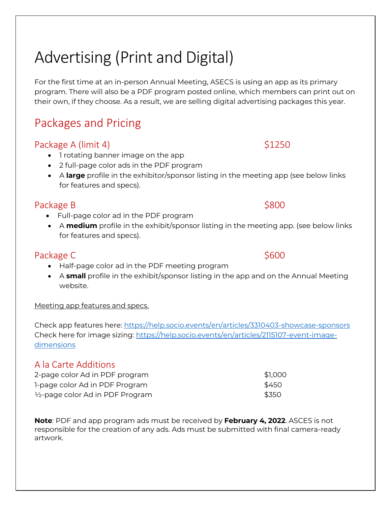## Advertising (Print and Digital)

For the first time at an in-person Annual Meeting, ASECS is using an app as its primary program. There will also be a PDF program posted online, which members can print out on their own, if they choose. As a result, we are selling digital advertising packages this year.

### Packages and Pricing

### Package A (limit 4) \$1250

- 1 rotating banner image on the app
- 2 full-page color ads in the PDF program
- A **large** profile in the exhibitor/sponsor listing in the meeting app (see below links for features and specs).

### Package B  $\sim$  \$800

- Full-page color ad in the PDF program
- A **medium** profile in the exhibit/sponsor listing in the meeting app. (see below links for features and specs).

### Package C **Analyzine Security** Package C

- Half-page color ad in the PDF meeting program
- A **small** profile in the exhibit/sponsor listing in the app and on the Annual Meeting website.

### Meeting app features and specs.

Check app features here:<https://help.socio.events/en/articles/3310403-showcase-sponsors> Check here for image sizing: [https://help.socio.events/en/articles/2115107-event-image](https://help.socio.events/en/articles/2115107-event-image-dimensions)[dimensions](https://help.socio.events/en/articles/2115107-event-image-dimensions) 

### A la Carte Additions

| 2-page color Ad in PDF program              | \$1,000 |
|---------------------------------------------|---------|
| 1-page color Ad in PDF Program              | \$450   |
| $\frac{1}{2}$ -page color Ad in PDF Program | \$350   |

**Note**: PDF and app program ads must be received by **February 4, 2022**. ASCES is not responsible for the creation of any ads. Ads must be submitted with final camera-ready artwork.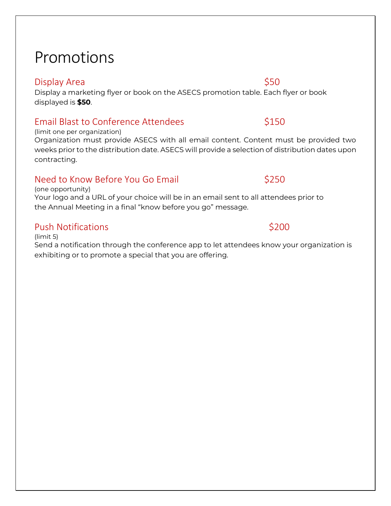## Promotions

### Display Area  $\lesssim$  50

Display a marketing flyer or book on the ASECS promotion table. Each flyer or book displayed is **\$50**.

### Email Blast to Conference Attendees  $$150$

(limit one per organization)

Organization must provide ASECS with all email content. Content must be provided two weeks prior to the distribution date. ASECS will provide a selection of distribution dates upon contracting.

### Need to Know Before You Go Email **S250**

(one opportunity) Your logo and a URL of your choice will be in an email sent to all attendees prior to the Annual Meeting in a final "know before you go" message.

### Push Notifications **Business Contract Contract Contract Contract Contract Contract Contract Contract Contract Contract Contract Contract Contract Contract Contract Contract Contract Contract Contract Contract Contract Cont**

(limit 5) Send a notification through the conference app to let attendees know your organization is exhibiting or to promote a special that you are offering.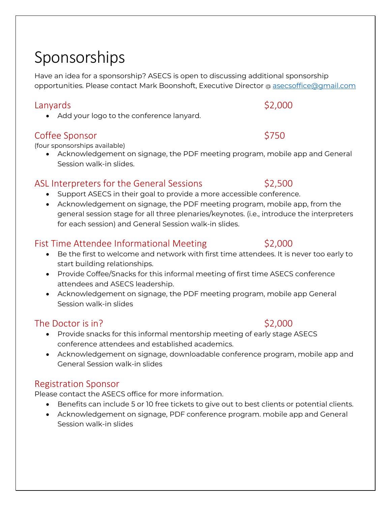## Sponsorships

Have an idea for a sponsorship? ASECS is open to discussing additional sponsorship opportunities. Please contact Mark Boonshoft, Executive Director @ [asecsoffice@gmail.com](mailto:asecsoffice@gmail.com)

### Lanyards \$2,000

• Add your logo to the conference lanyard.

### Coffee Sponsor \$750

(four sponsorships available)

• Acknowledgement on signage, the PDF meeting program, mobile app and General Session walk-in slides.

### ASL Interpreters for the General Sessions \$2,500

- Support ASECS in their goal to provide a more accessible conference.
- Acknowledgement on signage, the PDF meeting program, mobile app, from the general session stage for all three plenaries/keynotes. (i.e., introduce the interpreters for each session) and General Session walk-in slides.

### Fist Time Attendee Informational Meeting \$2,000

- Be the first to welcome and network with first time attendees. It is never too early to start building relationships.
- Provide Coffee/Snacks for this informal meeting of first time ASECS conference attendees and ASECS leadership.
- Acknowledgement on signage, the PDF meeting program, mobile app General Session walk-in slides

### The Doctor is in?  $$2,000$

- Provide snacks for this informal mentorship meeting of early stage ASECS conference attendees and established academics.
- Acknowledgement on signage, downloadable conference program, mobile app and General Session walk-in slides

### Registration Sponsor

Please contact the ASECS office for more information.

- Benefits can include 5 or 10 free tickets to give out to best clients or potential clients.
- Acknowledgement on signage, PDF conference program. mobile app and General Session walk-in slides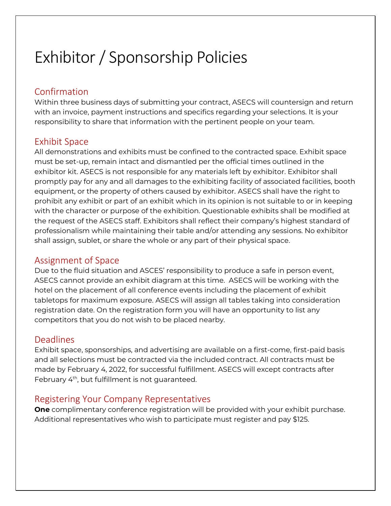## Exhibitor / Sponsorship Policies

### Confirmation

Within three business days of submitting your contract, ASECS will countersign and return with an invoice, payment instructions and specifics regarding your selections. It is your responsibility to share that information with the pertinent people on your team.

### Exhibit Space

All demonstrations and exhibits must be confined to the contracted space. Exhibit space must be set-up, remain intact and dismantled per the official times outlined in the exhibitor kit. ASECS is not responsible for any materials left by exhibitor. Exhibitor shall promptly pay for any and all damages to the exhibiting facility of associated facilities, booth equipment, or the property of others caused by exhibitor. ASECS shall have the right to prohibit any exhibit or part of an exhibit which in its opinion is not suitable to or in keeping with the character or purpose of the exhibition. Questionable exhibits shall be modified at the request of the ASECS staff. Exhibitors shall reflect their company's highest standard of professionalism while maintaining their table and/or attending any sessions. No exhibitor shall assign, sublet, or share the whole or any part of their physical space.

### Assignment of Space

Due to the fluid situation and ASCES' responsibility to produce a safe in person event, ASECS cannot provide an exhibit diagram at this time. ASECS will be working with the hotel on the placement of all conference events including the placement of exhibit tabletops for maximum exposure. ASECS will assign all tables taking into consideration registration date. On the registration form you will have an opportunity to list any competitors that you do not wish to be placed nearby.

### **Deadlines**

Exhibit space, sponsorships, and advertising are available on a first-come, first-paid basis and all selections must be contracted via the included contract. All contracts must be made by February 4, 2022, for successful fulfillment. ASECS will except contracts after February 4<sup>th</sup>, but fulfillment is not guaranteed.

### Registering Your Company Representatives

**One** complimentary conference registration will be provided with your exhibit purchase. Additional representatives who wish to participate must register and pay \$125.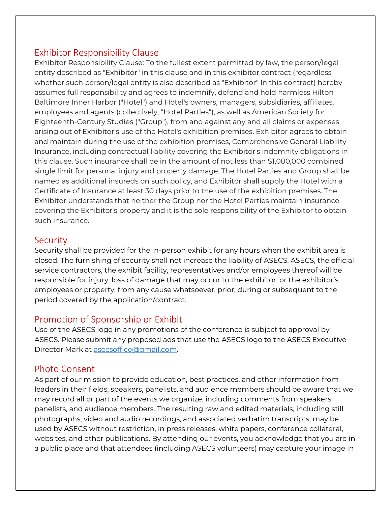### Exhibitor Responsibility Clause

Exhibitor Responsibility Clause: To the fullest extent permitted by law, the person/legal entity described as "Exhibitor" in this clause and in this exhibitor contract (regardless whether such person/legal entity is also described as "Exhibitor" ln this contract) hereby assumes full responsibility and agrees to indemnify, defend and hold harmless Hilton Baltimore Inner Harbor ("Hotel") and Hotel's owners, managers, subsidiaries, affiliates, employees and agents (collectively, "Hotel Parties"), as well as American Society for Eighteenth-Century Studies ("Group"), from and against any and all claims or expenses arising out of Exhibitor's use of the Hotel's exhibition premises. Exhibitor agrees to obtain and maintain during the use of the exhibition premises, Comprehensive General Liability Insurance, including contractual liability covering the Exhibitor's indemnity obligations in this clause. Such insurance shall be in the amount of not less than \$1,000,000 combined single limit for personal injury and property damage. The Hotel Parties and Group shall be named as additional insureds on such policy, and Exhibitor shall supply the Hotel with a Certificate of Insurance at least 30 days prior to the use of the exhibition premises. The Exhibitor understands that neither the Group nor the Hotel Parties maintain insurance covering the Exhibitor's property and it is the sole responsibility of the Exhibitor to obtain such insurance.

### **Security**

Security shall be provided for the in-person exhibit for any hours when the exhibit area is closed. The furnishing of security shall not increase the liability of ASECS. ASECS, the official service contractors, the exhibit facility, representatives and/or employees thereof will be responsible for injury, loss of damage that may occur to the exhibitor, or the exhibitor's employees or property, from any cause whatsoever, prior, during or subsequent to the period covered by the application/contract.

### Promotion of Sponsorship or Exhibit

Use of the ASECS logo in any promotions of the conference is subject to approval by ASECS. Please submit any proposed ads that use the ASECS logo to the ASECS Executive Director Mark at [asecsoffice@gmail.com.](mailto:asecsoffice@gmail.com)

### Photo Consent

As part of our mission to provide education, best practices, and other information from leaders in their fields, speakers, panelists, and audience members should be aware that we may record all or part of the events we organize, including comments from speakers, panelists, and audience members. The resulting raw and edited materials, including still photographs, video and audio recordings, and associated verbatim transcripts, may be used by ASECS without restriction, in press releases, white papers, conference collateral, websites, and other publications. By attending our events, you acknowledge that you are in a public place and that attendees (including ASECS volunteers) may capture your image in